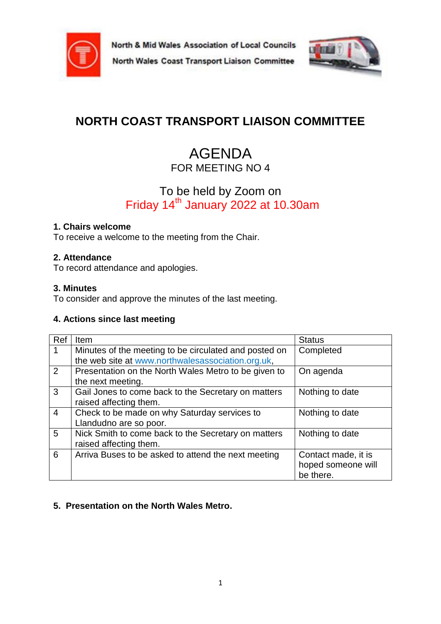

North & Mid Wales Association of Local Councils





# **NORTH COAST TRANSPORT LIAISON COMMITTEE**

## AGENDA FOR MEETING NO 4

## To be held by Zoom on Friday 14<sup>th</sup> January 2022 at 10.30am

#### **1. Chairs welcome**

To receive a welcome to the meeting from the Chair.

#### **2. Attendance**

To record attendance and apologies.

#### **3. Minutes**

To consider and approve the minutes of the last meeting.

#### **4. Actions since last meeting**

| Ref            | <b>Item</b>                                           | <b>Status</b>       |
|----------------|-------------------------------------------------------|---------------------|
|                | Minutes of the meeting to be circulated and posted on | Completed           |
|                | the web site at www.northwalesassociation.org.uk,     |                     |
| 2              | Presentation on the North Wales Metro to be given to  | On agenda           |
|                | the next meeting.                                     |                     |
| 3              | Gail Jones to come back to the Secretary on matters   | Nothing to date     |
|                | raised affecting them.                                |                     |
| $\overline{4}$ | Check to be made on why Saturday services to          | Nothing to date     |
|                | Llandudno are so poor.                                |                     |
| 5              | Nick Smith to come back to the Secretary on matters   | Nothing to date     |
|                | raised affecting them.                                |                     |
| 6              | Arriva Buses to be asked to attend the next meeting   | Contact made, it is |
|                |                                                       | hoped someone will  |
|                |                                                       | be there.           |

#### **5. Presentation on the North Wales Metro.**